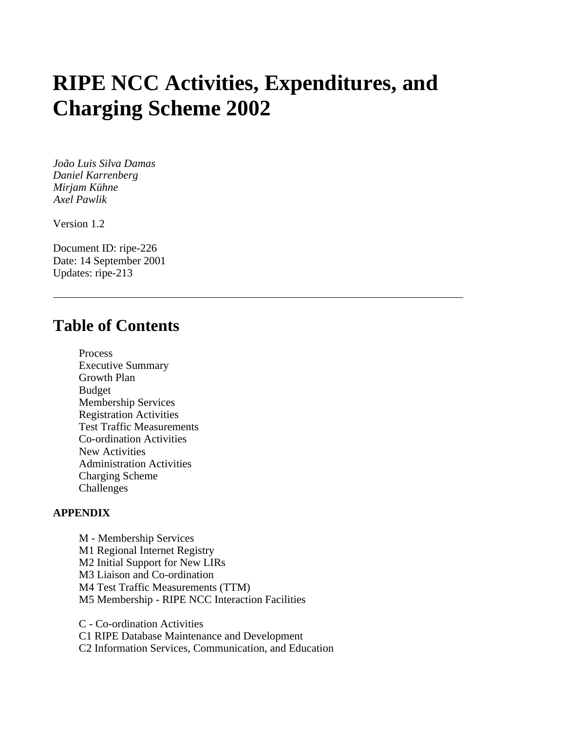# **RIPE NCC Activities, Expenditures, and Charging Scheme 2002**

*João Luis Silva Damas Daniel Karrenberg Mirjam Kühne Axel Pawlik*

Version 1.2

Document ID: ripe-226 Date: 14 September 2001 Updates: ripe-213

# **Table of Contents**

Process Executive Summary Growth Plan Budget Membership Services Registration Activities Test Traffic Measurements Co-ordination Activities New Activities Administration Activities Charging Scheme Challenges

#### **APPENDIX**

M - Membership Services M1 Regional Internet Registry M2 Initial Support for New LIRs M3 Liaison and Co-ordination M4 Test Traffic Measurements (TTM) M5 Membership - RIPE NCC Interaction Facilities

C - Co-ordination Activities C1 RIPE Database Maintenance and Development C2 Information Services, Communication, and Education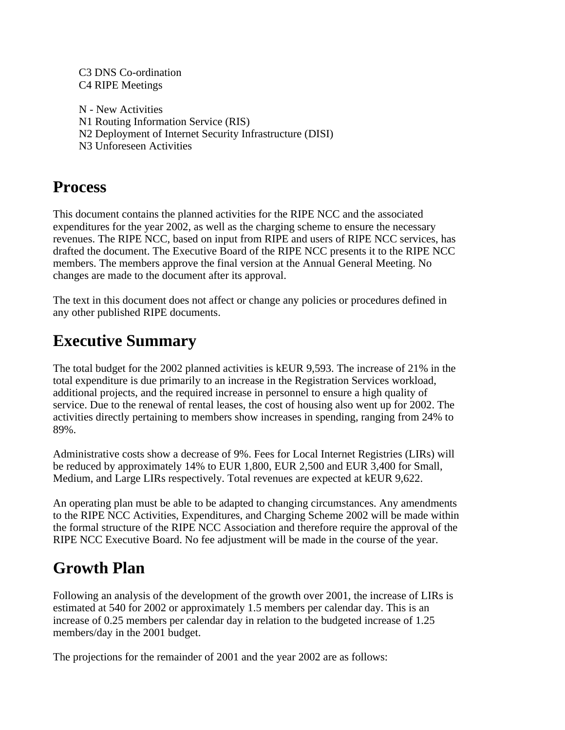#### C3 DNS Co-ordination C4 RIPE Meetings

N - New Activities N1 Routing Information Service (RIS) N2 Deployment of Internet Security Infrastructure (DISI) N3 Unforeseen Activities

# **Process**

This document contains the planned activities for the RIPE NCC and the associated expenditures for the year 2002, as well as the charging scheme to ensure the necessary revenues. The RIPE NCC, based on input from RIPE and users of RIPE NCC services, has drafted the document. The Executive Board of the RIPE NCC presents it to the RIPE NCC members. The members approve the final version at the Annual General Meeting. No changes are made to the document after its approval.

The text in this document does not affect or change any policies or procedures defined in any other published RIPE documents.

# **Executive Summary**

The total budget for the 2002 planned activities is kEUR 9,593. The increase of 21% in the total expenditure is due primarily to an increase in the Registration Services workload, additional projects, and the required increase in personnel to ensure a high quality of service. Due to the renewal of rental leases, the cost of housing also went up for 2002. The activities directly pertaining to members show increases in spending, ranging from 24% to 89%.

Administrative costs show a decrease of 9%. Fees for Local Internet Registries (LIRs) will be reduced by approximately 14% to EUR 1,800, EUR 2,500 and EUR 3,400 for Small, Medium, and Large LIRs respectively. Total revenues are expected at kEUR 9,622.

An operating plan must be able to be adapted to changing circumstances. Any amendments to the RIPE NCC Activities, Expenditures, and Charging Scheme 2002 will be made within the formal structure of the RIPE NCC Association and therefore require the approval of the RIPE NCC Executive Board. No fee adjustment will be made in the course of the year.

# **Growth Plan**

Following an analysis of the development of the growth over 2001, the increase of LIRs is estimated at 540 for 2002 or approximately 1.5 members per calendar day. This is an increase of 0.25 members per calendar day in relation to the budgeted increase of 1.25 members/day in the 2001 budget.

The projections for the remainder of 2001 and the year 2002 are as follows: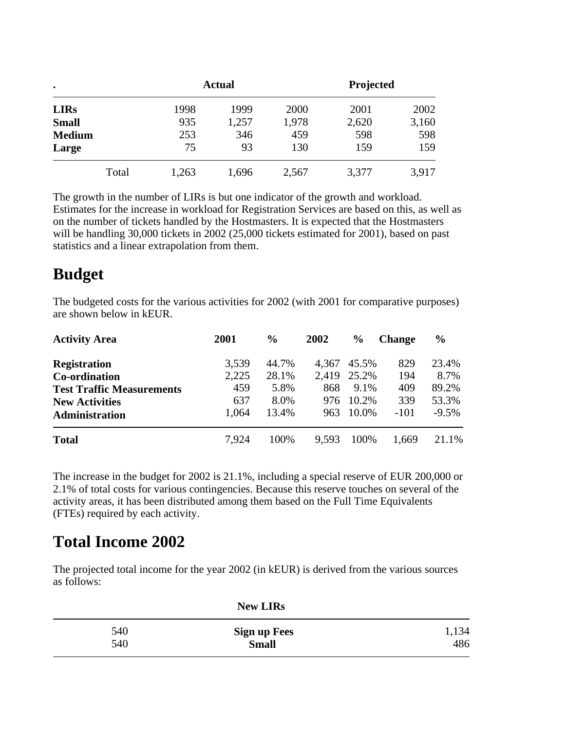| $\bullet$     |       | <b>Actual</b> |       | Projected |       |       |
|---------------|-------|---------------|-------|-----------|-------|-------|
| <b>LIRs</b>   |       | 1998          | 1999  | 2000      | 2001  | 2002  |
| <b>Small</b>  |       | 935           | 1,257 | 1,978     | 2,620 | 3,160 |
| <b>Medium</b> |       | 253           | 346   | 459       | 598   | 598   |
| Large         |       | 75            | 93    | 130       | 159   | 159   |
|               | Total | 1,263         | 1,696 | 2,567     | 3,377 | 3,917 |

The growth in the number of LIRs is but one indicator of the growth and workload. Estimates for the increase in workload for Registration Services are based on this, as well as on the number of tickets handled by the Hostmasters. It is expected that the Hostmasters will be handling 30,000 tickets in 2002 (25,000 tickets estimated for 2001), based on past statistics and a linear extrapolation from them.

# **Budget**

The budgeted costs for the various activities for 2002 (with 2001 for comparative purposes) are shown below in kEUR.

| <b>Activity Area</b>             | 2001  | $\frac{6}{6}$ | 2002  | $\frac{6}{6}$ | <b>Change</b> | $\frac{0}{0}$ |
|----------------------------------|-------|---------------|-------|---------------|---------------|---------------|
| <b>Registration</b>              | 3.539 | 44.7%         | 4,367 | 45.5%         | 829           | 23.4%         |
| Co-ordination                    | 2,225 | 28.1%         | 2,419 | 25.2%         | 194           | 8.7%          |
| <b>Test Traffic Measurements</b> | 459   | 5.8%          | 868   | 9.1%          | 409           | 89.2%         |
| <b>New Activities</b>            | 637   | 8.0%          | 976   | 10.2%         | 339           | 53.3%         |
| Administration                   | 1,064 | 13.4%         | 963   | 10.0%         | $-101$        | $-9.5\%$      |
| <b>Total</b>                     | 7.924 | 100%          | 9,593 | 100%          | 1,669         | 21.1%         |

The increase in the budget for 2002 is 21.1%, including a special reserve of EUR 200,000 or 2.1% of total costs for various contingencies. Because this reserve touches on several of the activity areas, it has been distributed among them based on the Full Time Equivalents (FTEs) required by each activity.

# **Total Income 2002**

The projected total income for the year 2002 (in kEUR) is derived from the various sources as follows:

|     | <b>New LIRs</b>     |       |
|-----|---------------------|-------|
| 540 | <b>Sign up Fees</b> | 1,134 |
| 540 | <b>Small</b>        | 486   |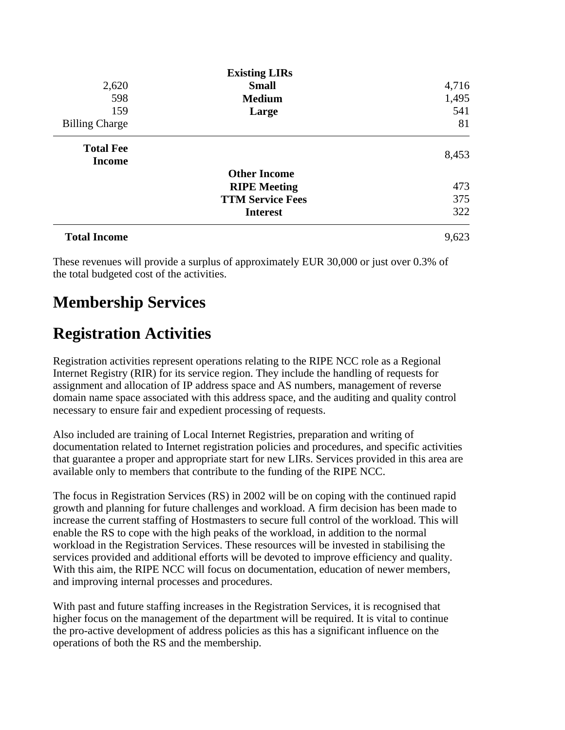|                       | <b>Existing LIRs</b>    |       |
|-----------------------|-------------------------|-------|
| 2,620                 | <b>Small</b>            | 4,716 |
| 598                   | <b>Medium</b>           | 1,495 |
| 159                   | Large                   | 541   |
| <b>Billing Charge</b> |                         | 81    |
| <b>Total Fee</b>      |                         | 8,453 |
| <b>Income</b>         |                         |       |
|                       | <b>Other Income</b>     |       |
|                       | <b>RIPE Meeting</b>     | 473   |
|                       | <b>TTM Service Fees</b> | 375   |
|                       | <b>Interest</b>         | 322   |
| <b>Total Income</b>   |                         | 9,623 |

These revenues will provide a surplus of approximately EUR 30,000 or just over 0.3% of the total budgeted cost of the activities.

# **Membership Services**

# **Registration Activities**

Registration activities represent operations relating to the RIPE NCC role as a Regional Internet Registry (RIR) for its service region. They include the handling of requests for assignment and allocation of IP address space and AS numbers, management of reverse domain name space associated with this address space, and the auditing and quality control necessary to ensure fair and expedient processing of requests.

Also included are training of Local Internet Registries, preparation and writing of documentation related to Internet registration policies and procedures, and specific activities that guarantee a proper and appropriate start for new LIRs. Services provided in this area are available only to members that contribute to the funding of the RIPE NCC.

The focus in Registration Services (RS) in 2002 will be on coping with the continued rapid growth and planning for future challenges and workload. A firm decision has been made to increase the current staffing of Hostmasters to secure full control of the workload. This will enable the RS to cope with the high peaks of the workload, in addition to the normal workload in the Registration Services. These resources will be invested in stabilising the services provided and additional efforts will be devoted to improve efficiency and quality. With this aim, the RIPE NCC will focus on documentation, education of newer members, and improving internal processes and procedures.

With past and future staffing increases in the Registration Services, it is recognised that higher focus on the management of the department will be required. It is vital to continue the pro-active development of address policies as this has a significant influence on the operations of both the RS and the membership.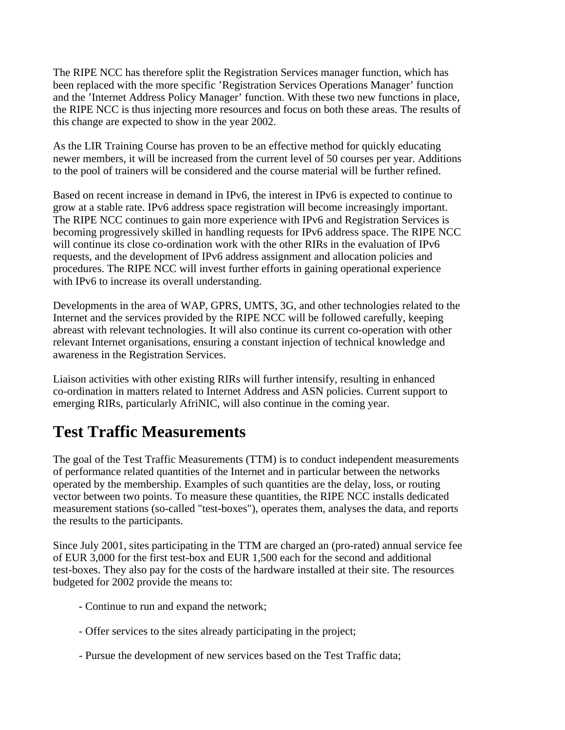The RIPE NCC has therefore split the Registration Services manager function, which has been replaced with the more specific 'Registration Services Operations Manager' function and the 'Internet Address Policy Manager' function. With these two new functions in place, the RIPE NCC is thus injecting more resources and focus on both these areas. The results of this change are expected to show in the year 2002.

As the LIR Training Course has proven to be an effective method for quickly educating newer members, it will be increased from the current level of 50 courses per year. Additions to the pool of trainers will be considered and the course material will be further refined.

Based on recent increase in demand in IPv6, the interest in IPv6 is expected to continue to grow at a stable rate. IPv6 address space registration will become increasingly important. The RIPE NCC continues to gain more experience with IPv6 and Registration Services is becoming progressively skilled in handling requests for IPv6 address space. The RIPE NCC will continue its close co-ordination work with the other RIRs in the evaluation of IPv6 requests, and the development of IPv6 address assignment and allocation policies and procedures. The RIPE NCC will invest further efforts in gaining operational experience with IPv6 to increase its overall understanding.

Developments in the area of WAP, GPRS, UMTS, 3G, and other technologies related to the Internet and the services provided by the RIPE NCC will be followed carefully, keeping abreast with relevant technologies. It will also continue its current co-operation with other relevant Internet organisations, ensuring a constant injection of technical knowledge and awareness in the Registration Services.

Liaison activities with other existing RIRs will further intensify, resulting in enhanced co-ordination in matters related to Internet Address and ASN policies. Current support to emerging RIRs, particularly AfriNIC, will also continue in the coming year.

# **Test Traffic Measurements**

The goal of the Test Traffic Measurements (TTM) is to conduct independent measurements of performance related quantities of the Internet and in particular between the networks operated by the membership. Examples of such quantities are the delay, loss, or routing vector between two points. To measure these quantities, the RIPE NCC installs dedicated measurement stations (so-called "test-boxes"), operates them, analyses the data, and reports the results to the participants.

Since July 2001, sites participating in the TTM are charged an (pro-rated) annual service fee of EUR 3,000 for the first test-box and EUR 1,500 each for the second and additional test-boxes. They also pay for the costs of the hardware installed at their site. The resources budgeted for 2002 provide the means to:

- Continue to run and expand the network;
- Offer services to the sites already participating in the project;
- Pursue the development of new services based on the Test Traffic data;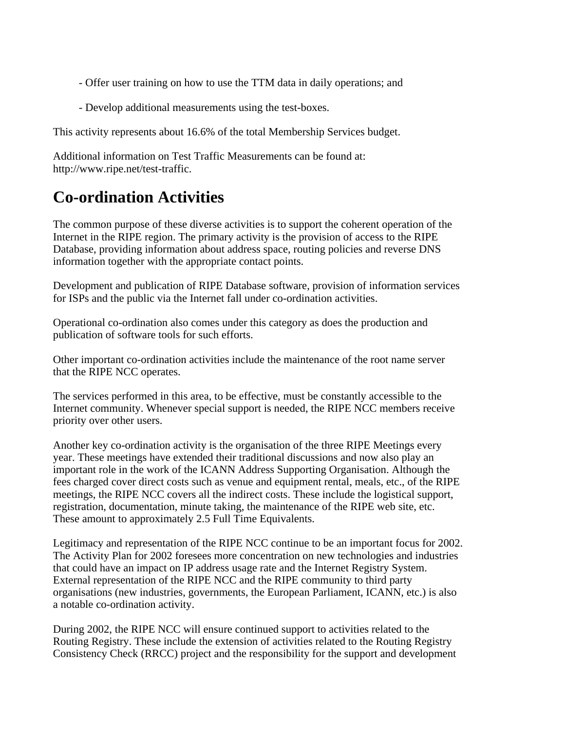- Offer user training on how to use the TTM data in daily operations; and
- Develop additional measurements using the test-boxes.

This activity represents about 16.6% of the total Membership Services budget.

Additional information on Test Traffic Measurements can be found at: http://www.ripe.net/test-traffic.

# **Co-ordination Activities**

The common purpose of these diverse activities is to support the coherent operation of the Internet in the RIPE region. The primary activity is the provision of access to the RIPE Database, providing information about address space, routing policies and reverse DNS information together with the appropriate contact points.

Development and publication of RIPE Database software, provision of information services for ISPs and the public via the Internet fall under co-ordination activities.

Operational co-ordination also comes under this category as does the production and publication of software tools for such efforts.

Other important co-ordination activities include the maintenance of the root name server that the RIPE NCC operates.

The services performed in this area, to be effective, must be constantly accessible to the Internet community. Whenever special support is needed, the RIPE NCC members receive priority over other users.

Another key co-ordination activity is the organisation of the three RIPE Meetings every year. These meetings have extended their traditional discussions and now also play an important role in the work of the ICANN Address Supporting Organisation. Although the fees charged cover direct costs such as venue and equipment rental, meals, etc., of the RIPE meetings, the RIPE NCC covers all the indirect costs. These include the logistical support, registration, documentation, minute taking, the maintenance of the RIPE web site, etc. These amount to approximately 2.5 Full Time Equivalents.

Legitimacy and representation of the RIPE NCC continue to be an important focus for 2002. The Activity Plan for 2002 foresees more concentration on new technologies and industries that could have an impact on IP address usage rate and the Internet Registry System. External representation of the RIPE NCC and the RIPE community to third party organisations (new industries, governments, the European Parliament, ICANN, etc.) is also a notable co-ordination activity.

During 2002, the RIPE NCC will ensure continued support to activities related to the Routing Registry. These include the extension of activities related to the Routing Registry Consistency Check (RRCC) project and the responsibility for the support and development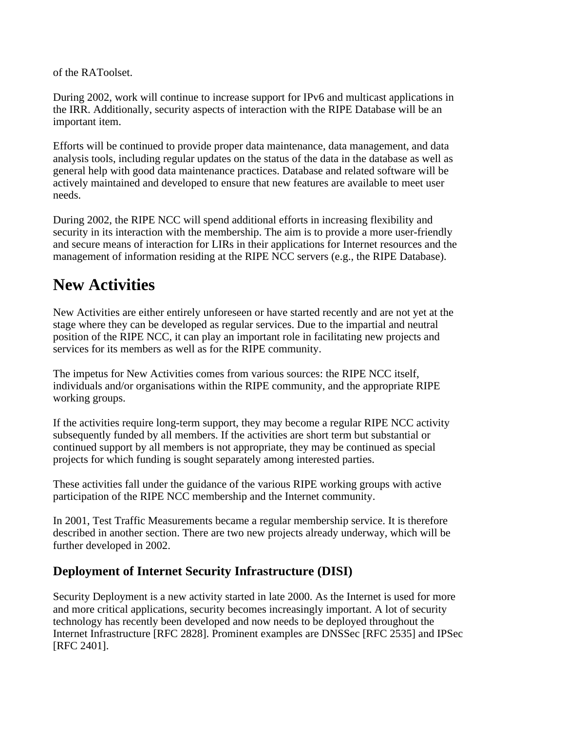of the RAToolset.

During 2002, work will continue to increase support for IPv6 and multicast applications in the IRR. Additionally, security aspects of interaction with the RIPE Database will be an important item.

Efforts will be continued to provide proper data maintenance, data management, and data analysis tools, including regular updates on the status of the data in the database as well as general help with good data maintenance practices. Database and related software will be actively maintained and developed to ensure that new features are available to meet user needs.

During 2002, the RIPE NCC will spend additional efforts in increasing flexibility and security in its interaction with the membership. The aim is to provide a more user-friendly and secure means of interaction for LIRs in their applications for Internet resources and the management of information residing at the RIPE NCC servers (e.g., the RIPE Database).

# **New Activities**

New Activities are either entirely unforeseen or have started recently and are not yet at the stage where they can be developed as regular services. Due to the impartial and neutral position of the RIPE NCC, it can play an important role in facilitating new projects and services for its members as well as for the RIPE community.

The impetus for New Activities comes from various sources: the RIPE NCC itself, individuals and/or organisations within the RIPE community, and the appropriate RIPE working groups.

If the activities require long-term support, they may become a regular RIPE NCC activity subsequently funded by all members. If the activities are short term but substantial or continued support by all members is not appropriate, they may be continued as special projects for which funding is sought separately among interested parties.

These activities fall under the guidance of the various RIPE working groups with active participation of the RIPE NCC membership and the Internet community.

In 2001, Test Traffic Measurements became a regular membership service. It is therefore described in another section. There are two new projects already underway, which will be further developed in 2002.

# **Deployment of Internet Security Infrastructure (DISI)**

Security Deployment is a new activity started in late 2000. As the Internet is used for more and more critical applications, security becomes increasingly important. A lot of security technology has recently been developed and now needs to be deployed throughout the Internet Infrastructure [RFC 2828]. Prominent examples are DNSSec [RFC 2535] and IPSec [RFC 2401].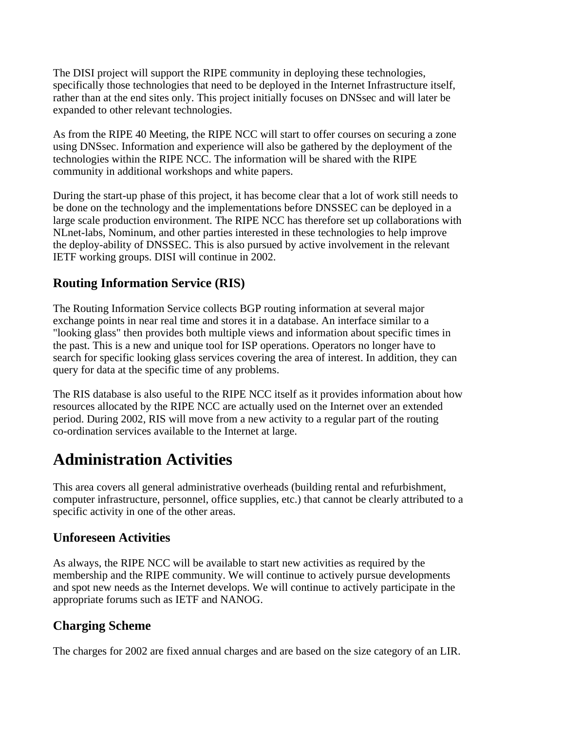The DISI project will support the RIPE community in deploying these technologies, specifically those technologies that need to be deployed in the Internet Infrastructure itself, rather than at the end sites only. This project initially focuses on DNSsec and will later be expanded to other relevant technologies.

As from the RIPE 40 Meeting, the RIPE NCC will start to offer courses on securing a zone using DNSsec. Information and experience will also be gathered by the deployment of the technologies within the RIPE NCC. The information will be shared with the RIPE community in additional workshops and white papers.

During the start-up phase of this project, it has become clear that a lot of work still needs to be done on the technology and the implementations before DNSSEC can be deployed in a large scale production environment. The RIPE NCC has therefore set up collaborations with NLnet-labs, Nominum, and other parties interested in these technologies to help improve the deploy-ability of DNSSEC. This is also pursued by active involvement in the relevant IETF working groups. DISI will continue in 2002.

# **Routing Information Service (RIS)**

The Routing Information Service collects BGP routing information at several major exchange points in near real time and stores it in a database. An interface similar to a "looking glass" then provides both multiple views and information about specific times in the past. This is a new and unique tool for ISP operations. Operators no longer have to search for specific looking glass services covering the area of interest. In addition, they can query for data at the specific time of any problems.

The RIS database is also useful to the RIPE NCC itself as it provides information about how resources allocated by the RIPE NCC are actually used on the Internet over an extended period. During 2002, RIS will move from a new activity to a regular part of the routing co-ordination services available to the Internet at large.

# **Administration Activities**

This area covers all general administrative overheads (building rental and refurbishment, computer infrastructure, personnel, office supplies, etc.) that cannot be clearly attributed to a specific activity in one of the other areas.

## **Unforeseen Activities**

As always, the RIPE NCC will be available to start new activities as required by the membership and the RIPE community. We will continue to actively pursue developments and spot new needs as the Internet develops. We will continue to actively participate in the appropriate forums such as IETF and NANOG.

# **Charging Scheme**

The charges for 2002 are fixed annual charges and are based on the size category of an LIR.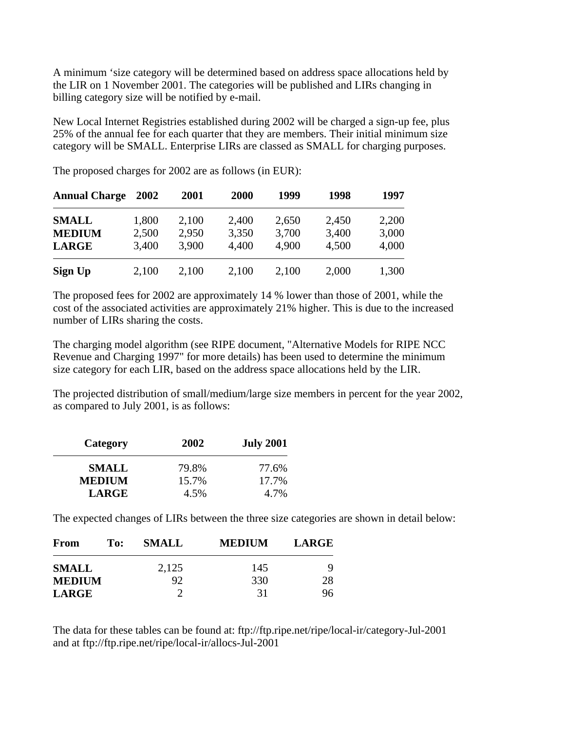A minimum 'size category will be determined based on address space allocations held by the LIR on 1 November 2001. The categories will be published and LIRs changing in billing category size will be notified by e-mail.

New Local Internet Registries established during 2002 will be charged a sign-up fee, plus 25% of the annual fee for each quarter that they are members. Their initial minimum size category will be SMALL. Enterprise LIRs are classed as SMALL for charging purposes.

| <b>Annual Charge</b> | 2002  | 2001  | 2000  | 1999  | 1998  | 1997  |
|----------------------|-------|-------|-------|-------|-------|-------|
| <b>SMALL</b>         | 1,800 | 2,100 | 2,400 | 2,650 | 2,450 | 2,200 |
| <b>MEDIUM</b>        | 2,500 | 2,950 | 3,350 | 3,700 | 3,400 | 3,000 |
| <b>LARGE</b>         | 3,400 | 3,900 | 4,400 | 4.900 | 4,500 | 4,000 |
| Sign Up              | 2,100 | 2,100 | 2,100 | 2,100 | 2,000 | 1,300 |

The proposed charges for 2002 are as follows (in EUR):

The proposed fees for 2002 are approximately 14 % lower than those of 2001, while the cost of the associated activities are approximately 21% higher. This is due to the increased number of LIRs sharing the costs.

The charging model algorithm (see RIPE document, "Alternative Models for RIPE NCC Revenue and Charging 1997" for more details) has been used to determine the minimum size category for each LIR, based on the address space allocations held by the LIR.

The projected distribution of small/medium/large size members in percent for the year 2002, as compared to July 2001, is as follows:

| Category      | 2002  | <b>July 2001</b> |
|---------------|-------|------------------|
| <b>SMALL</b>  | 79.8% | 77.6%            |
| <b>MEDIUM</b> | 15.7% | 17.7%            |
| <b>LARGE</b>  | 4.5%  | 4.7%             |

The expected changes of LIRs between the three size categories are shown in detail below:

| From          | To: | <b>SMALL</b> | <b>MEDIUM</b> | <b>LARGE</b> |
|---------------|-----|--------------|---------------|--------------|
| <b>SMALL</b>  |     | 2,125        | 145           | Q            |
| <b>MEDIUM</b> |     | 92           | 330           | 28           |
| <b>LARGE</b>  |     |              | 31            | 96           |

The data for these tables can be found at: ftp://ftp.ripe.net/ripe/local-ir/category-Jul-2001 and at ftp://ftp.ripe.net/ripe/local-ir/allocs-Jul-2001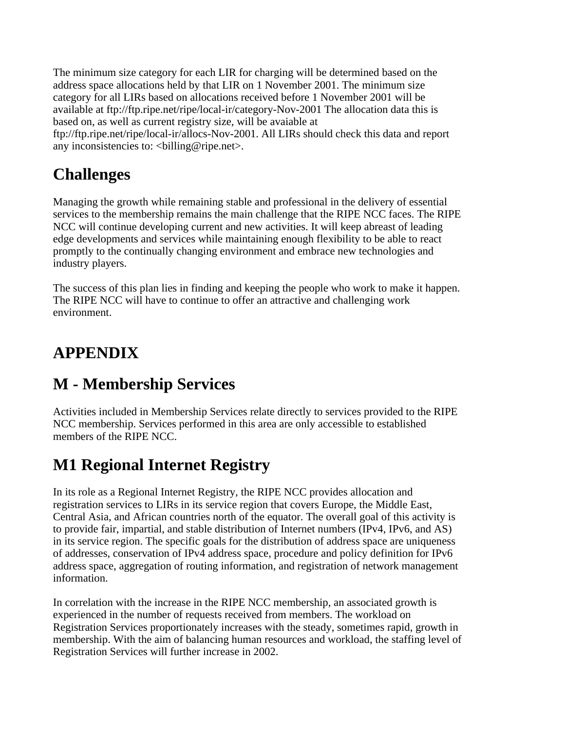The minimum size category for each LIR for charging will be determined based on the address space allocations held by that LIR on 1 November 2001. The minimum size category for all LIRs based on allocations received before 1 November 2001 will be available at ftp://ftp.ripe.net/ripe/local-ir/category-Nov-2001 The allocation data this is based on, as well as current registry size, will be avaiable at ftp://ftp.ripe.net/ripe/local-ir/allocs-Nov-2001. All LIRs should check this data and report

any inconsistencies to: <br/> <br/>billing@ripe.net>.

# **Challenges**

Managing the growth while remaining stable and professional in the delivery of essential services to the membership remains the main challenge that the RIPE NCC faces. The RIPE NCC will continue developing current and new activities. It will keep abreast of leading edge developments and services while maintaining enough flexibility to be able to react promptly to the continually changing environment and embrace new technologies and industry players.

The success of this plan lies in finding and keeping the people who work to make it happen. The RIPE NCC will have to continue to offer an attractive and challenging work environment.

# **APPENDIX**

# **M - Membership Services**

Activities included in Membership Services relate directly to services provided to the RIPE NCC membership. Services performed in this area are only accessible to established members of the RIPE NCC.

# **M1 Regional Internet Registry**

In its role as a Regional Internet Registry, the RIPE NCC provides allocation and registration services to LIRs in its service region that covers Europe, the Middle East, Central Asia, and African countries north of the equator. The overall goal of this activity is to provide fair, impartial, and stable distribution of Internet numbers (IPv4, IPv6, and AS) in its service region. The specific goals for the distribution of address space are uniqueness of addresses, conservation of IPv4 address space, procedure and policy definition for IPv6 address space, aggregation of routing information, and registration of network management information.

In correlation with the increase in the RIPE NCC membership, an associated growth is experienced in the number of requests received from members. The workload on Registration Services proportionately increases with the steady, sometimes rapid, growth in membership. With the aim of balancing human resources and workload, the staffing level of Registration Services will further increase in 2002.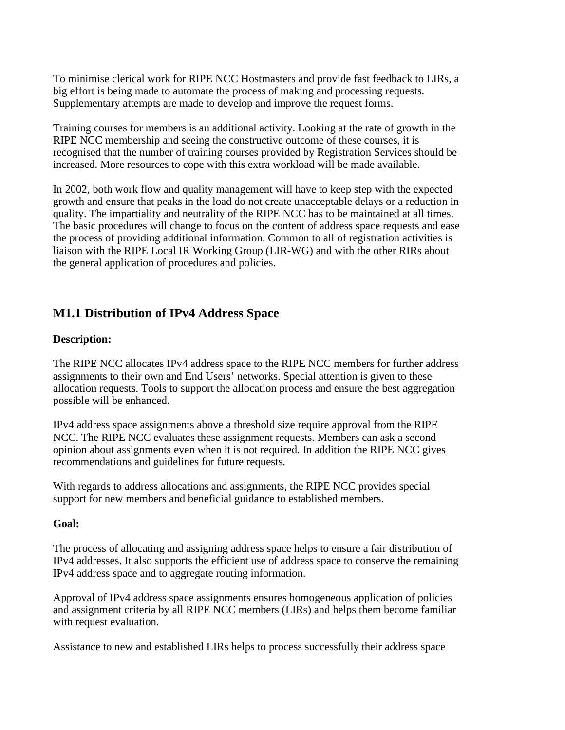To minimise clerical work for RIPE NCC Hostmasters and provide fast feedback to LIRs, a big effort is being made to automate the process of making and processing requests. Supplementary attempts are made to develop and improve the request forms.

Training courses for members is an additional activity. Looking at the rate of growth in the RIPE NCC membership and seeing the constructive outcome of these courses, it is recognised that the number of training courses provided by Registration Services should be increased. More resources to cope with this extra workload will be made available.

In 2002, both work flow and quality management will have to keep step with the expected growth and ensure that peaks in the load do not create unacceptable delays or a reduction in quality. The impartiality and neutrality of the RIPE NCC has to be maintained at all times. The basic procedures will change to focus on the content of address space requests and ease the process of providing additional information. Common to all of registration activities is liaison with the RIPE Local IR Working Group (LIR-WG) and with the other RIRs about the general application of procedures and policies.

## **M1.1 Distribution of IPv4 Address Space**

#### **Description:**

The RIPE NCC allocates IPv4 address space to the RIPE NCC members for further address assignments to their own and End Users' networks. Special attention is given to these allocation requests. Tools to support the allocation process and ensure the best aggregation possible will be enhanced.

IPv4 address space assignments above a threshold size require approval from the RIPE NCC. The RIPE NCC evaluates these assignment requests. Members can ask a second opinion about assignments even when it is not required. In addition the RIPE NCC gives recommendations and guidelines for future requests.

With regards to address allocations and assignments, the RIPE NCC provides special support for new members and beneficial guidance to established members.

#### **Goal:**

The process of allocating and assigning address space helps to ensure a fair distribution of IPv4 addresses. It also supports the efficient use of address space to conserve the remaining IPv4 address space and to aggregate routing information.

Approval of IPv4 address space assignments ensures homogeneous application of policies and assignment criteria by all RIPE NCC members (LIRs) and helps them become familiar with request evaluation.

Assistance to new and established LIRs helps to process successfully their address space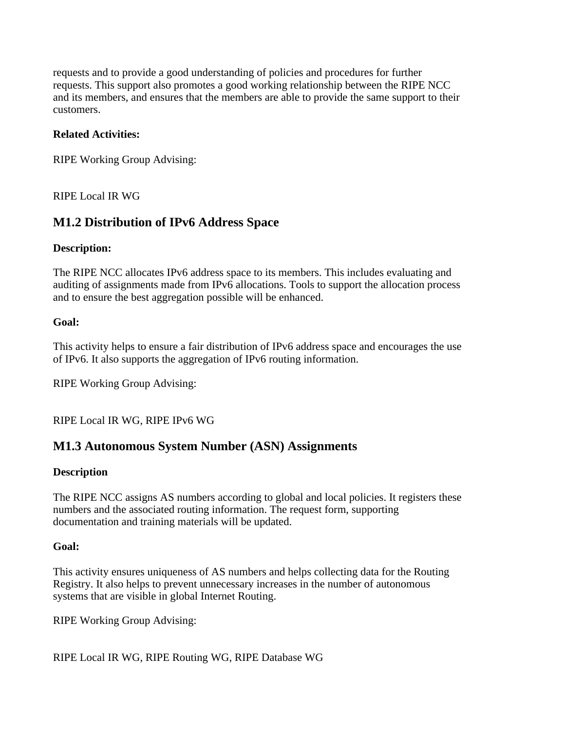requests and to provide a good understanding of policies and procedures for further requests. This support also promotes a good working relationship between the RIPE NCC and its members, and ensures that the members are able to provide the same support to their customers.

## **Related Activities:**

RIPE Working Group Advising:

RIPE Local IR WG

## **M1.2 Distribution of IPv6 Address Space**

#### **Description:**

The RIPE NCC allocates IPv6 address space to its members. This includes evaluating and auditing of assignments made from IPv6 allocations. Tools to support the allocation process and to ensure the best aggregation possible will be enhanced.

#### **Goal:**

This activity helps to ensure a fair distribution of IPv6 address space and encourages the use of IPv6. It also supports the aggregation of IPv6 routing information.

RIPE Working Group Advising:

RIPE Local IR WG, RIPE IPv6 WG

## **M1.3 Autonomous System Number (ASN) Assignments**

### **Description**

The RIPE NCC assigns AS numbers according to global and local policies. It registers these numbers and the associated routing information. The request form, supporting documentation and training materials will be updated.

#### **Goal:**

This activity ensures uniqueness of AS numbers and helps collecting data for the Routing Registry. It also helps to prevent unnecessary increases in the number of autonomous systems that are visible in global Internet Routing.

RIPE Working Group Advising:

RIPE Local IR WG, RIPE Routing WG, RIPE Database WG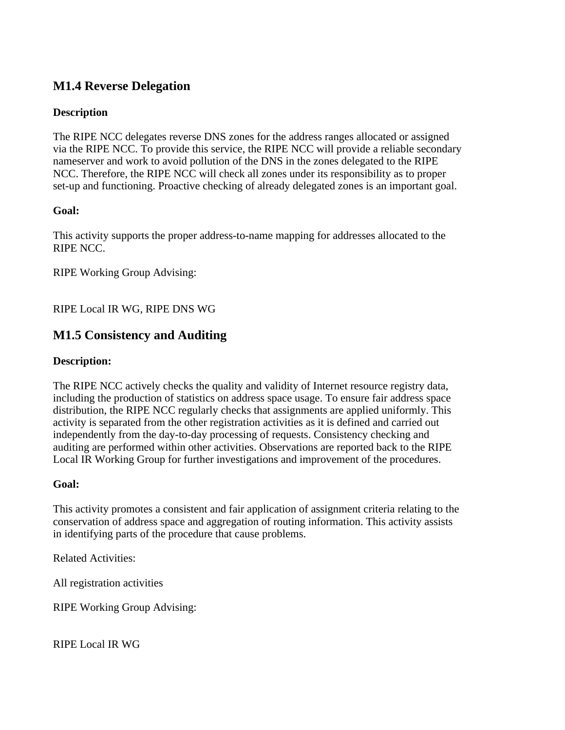## **M1.4 Reverse Delegation**

## **Description**

The RIPE NCC delegates reverse DNS zones for the address ranges allocated or assigned via the RIPE NCC. To provide this service, the RIPE NCC will provide a reliable secondary nameserver and work to avoid pollution of the DNS in the zones delegated to the RIPE NCC. Therefore, the RIPE NCC will check all zones under its responsibility as to proper set-up and functioning. Proactive checking of already delegated zones is an important goal.

### **Goal:**

This activity supports the proper address-to-name mapping for addresses allocated to the RIPE NCC.

RIPE Working Group Advising:

## RIPE Local IR WG, RIPE DNS WG

## **M1.5 Consistency and Auditing**

#### **Description:**

The RIPE NCC actively checks the quality and validity of Internet resource registry data, including the production of statistics on address space usage. To ensure fair address space distribution, the RIPE NCC regularly checks that assignments are applied uniformly. This activity is separated from the other registration activities as it is defined and carried out independently from the day-to-day processing of requests. Consistency checking and auditing are performed within other activities. Observations are reported back to the RIPE Local IR Working Group for further investigations and improvement of the procedures.

#### **Goal:**

This activity promotes a consistent and fair application of assignment criteria relating to the conservation of address space and aggregation of routing information. This activity assists in identifying parts of the procedure that cause problems.

Related Activities:

All registration activities

RIPE Working Group Advising:

RIPE Local IR WG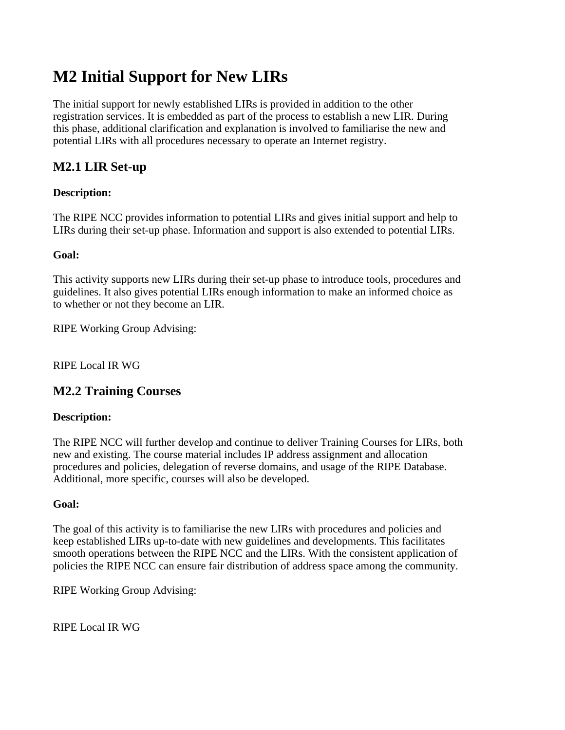# **M2 Initial Support for New LIRs**

The initial support for newly established LIRs is provided in addition to the other registration services. It is embedded as part of the process to establish a new LIR. During this phase, additional clarification and explanation is involved to familiarise the new and potential LIRs with all procedures necessary to operate an Internet registry.

# **M2.1 LIR Set-up**

## **Description:**

The RIPE NCC provides information to potential LIRs and gives initial support and help to LIRs during their set-up phase. Information and support is also extended to potential LIRs.

### **Goal:**

This activity supports new LIRs during their set-up phase to introduce tools, procedures and guidelines. It also gives potential LIRs enough information to make an informed choice as to whether or not they become an LIR.

RIPE Working Group Advising:

RIPE Local IR WG

## **M2.2 Training Courses**

### **Description:**

The RIPE NCC will further develop and continue to deliver Training Courses for LIRs, both new and existing. The course material includes IP address assignment and allocation procedures and policies, delegation of reverse domains, and usage of the RIPE Database. Additional, more specific, courses will also be developed.

### **Goal:**

The goal of this activity is to familiarise the new LIRs with procedures and policies and keep established LIRs up-to-date with new guidelines and developments. This facilitates smooth operations between the RIPE NCC and the LIRs. With the consistent application of policies the RIPE NCC can ensure fair distribution of address space among the community.

RIPE Working Group Advising:

RIPE Local IR WG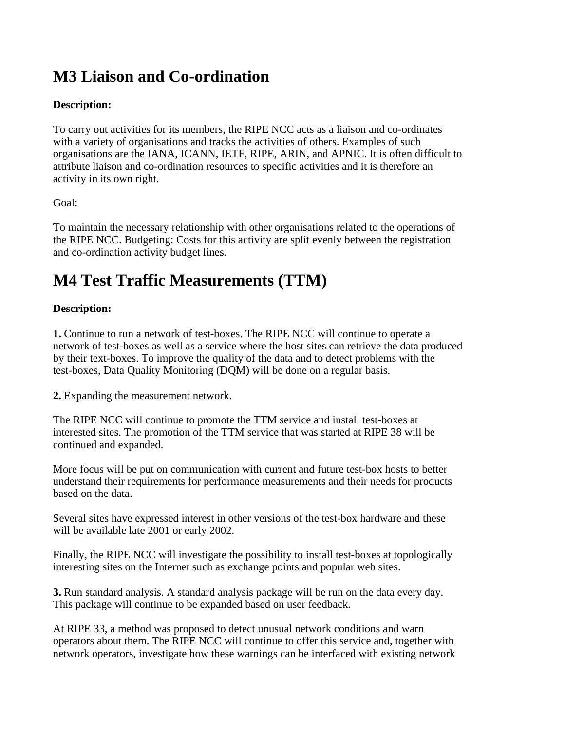# **M3 Liaison and Co-ordination**

## **Description:**

To carry out activities for its members, the RIPE NCC acts as a liaison and co-ordinates with a variety of organisations and tracks the activities of others. Examples of such organisations are the IANA, ICANN, IETF, RIPE, ARIN, and APNIC. It is often difficult to attribute liaison and co-ordination resources to specific activities and it is therefore an activity in its own right.

### Goal:

To maintain the necessary relationship with other organisations related to the operations of the RIPE NCC. Budgeting: Costs for this activity are split evenly between the registration and co-ordination activity budget lines.

# **M4 Test Traffic Measurements (TTM)**

## **Description:**

**1.** Continue to run a network of test-boxes. The RIPE NCC will continue to operate a network of test-boxes as well as a service where the host sites can retrieve the data produced by their text-boxes. To improve the quality of the data and to detect problems with the test-boxes, Data Quality Monitoring (DQM) will be done on a regular basis.

**2.** Expanding the measurement network.

The RIPE NCC will continue to promote the TTM service and install test-boxes at interested sites. The promotion of the TTM service that was started at RIPE 38 will be continued and expanded.

More focus will be put on communication with current and future test-box hosts to better understand their requirements for performance measurements and their needs for products based on the data.

Several sites have expressed interest in other versions of the test-box hardware and these will be available late 2001 or early 2002.

Finally, the RIPE NCC will investigate the possibility to install test-boxes at topologically interesting sites on the Internet such as exchange points and popular web sites.

**3.** Run standard analysis. A standard analysis package will be run on the data every day. This package will continue to be expanded based on user feedback.

At RIPE 33, a method was proposed to detect unusual network conditions and warn operators about them. The RIPE NCC will continue to offer this service and, together with network operators, investigate how these warnings can be interfaced with existing network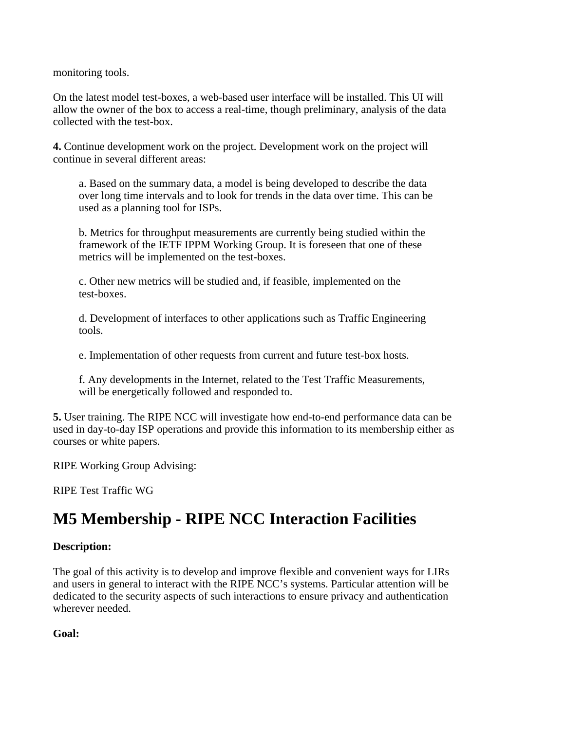monitoring tools.

On the latest model test-boxes, a web-based user interface will be installed. This UI will allow the owner of the box to access a real-time, though preliminary, analysis of the data collected with the test-box.

**4.** Continue development work on the project. Development work on the project will continue in several different areas:

a. Based on the summary data, a model is being developed to describe the data over long time intervals and to look for trends in the data over time. This can be used as a planning tool for ISPs.

b. Metrics for throughput measurements are currently being studied within the framework of the IETF IPPM Working Group. It is foreseen that one of these metrics will be implemented on the test-boxes.

c. Other new metrics will be studied and, if feasible, implemented on the test-boxes.

d. Development of interfaces to other applications such as Traffic Engineering tools.

e. Implementation of other requests from current and future test-box hosts.

f. Any developments in the Internet, related to the Test Traffic Measurements, will be energetically followed and responded to.

**5.** User training. The RIPE NCC will investigate how end-to-end performance data can be used in day-to-day ISP operations and provide this information to its membership either as courses or white papers.

RIPE Working Group Advising:

RIPE Test Traffic WG

# **M5 Membership - RIPE NCC Interaction Facilities**

### **Description:**

The goal of this activity is to develop and improve flexible and convenient ways for LIRs and users in general to interact with the RIPE NCC's systems. Particular attention will be dedicated to the security aspects of such interactions to ensure privacy and authentication wherever needed.

**Goal:**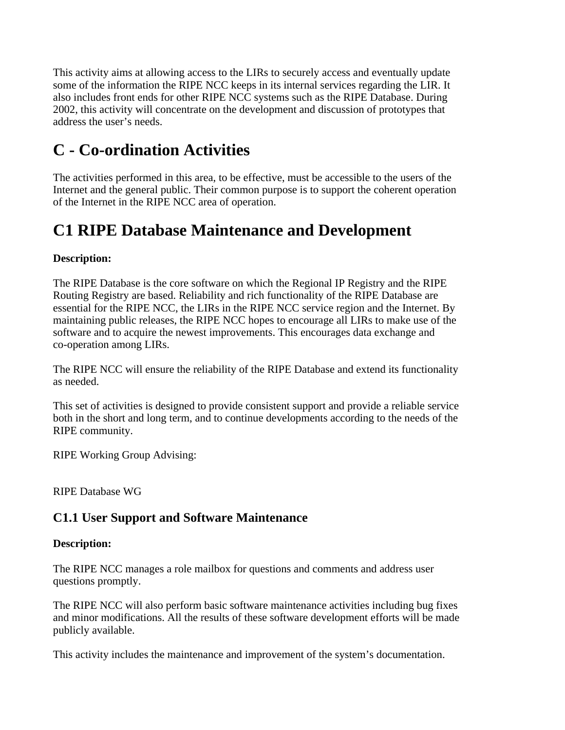This activity aims at allowing access to the LIRs to securely access and eventually update some of the information the RIPE NCC keeps in its internal services regarding the LIR. It also includes front ends for other RIPE NCC systems such as the RIPE Database. During 2002, this activity will concentrate on the development and discussion of prototypes that address the user's needs.

# **C - Co-ordination Activities**

The activities performed in this area, to be effective, must be accessible to the users of the Internet and the general public. Their common purpose is to support the coherent operation of the Internet in the RIPE NCC area of operation.

# **C1 RIPE Database Maintenance and Development**

## **Description:**

The RIPE Database is the core software on which the Regional IP Registry and the RIPE Routing Registry are based. Reliability and rich functionality of the RIPE Database are essential for the RIPE NCC, the LIRs in the RIPE NCC service region and the Internet. By maintaining public releases, the RIPE NCC hopes to encourage all LIRs to make use of the software and to acquire the newest improvements. This encourages data exchange and co-operation among LIRs.

The RIPE NCC will ensure the reliability of the RIPE Database and extend its functionality as needed.

This set of activities is designed to provide consistent support and provide a reliable service both in the short and long term, and to continue developments according to the needs of the RIPE community.

RIPE Working Group Advising:

RIPE Database WG

# **C1.1 User Support and Software Maintenance**

### **Description:**

The RIPE NCC manages a role mailbox for questions and comments and address user questions promptly.

The RIPE NCC will also perform basic software maintenance activities including bug fixes and minor modifications. All the results of these software development efforts will be made publicly available.

This activity includes the maintenance and improvement of the system's documentation.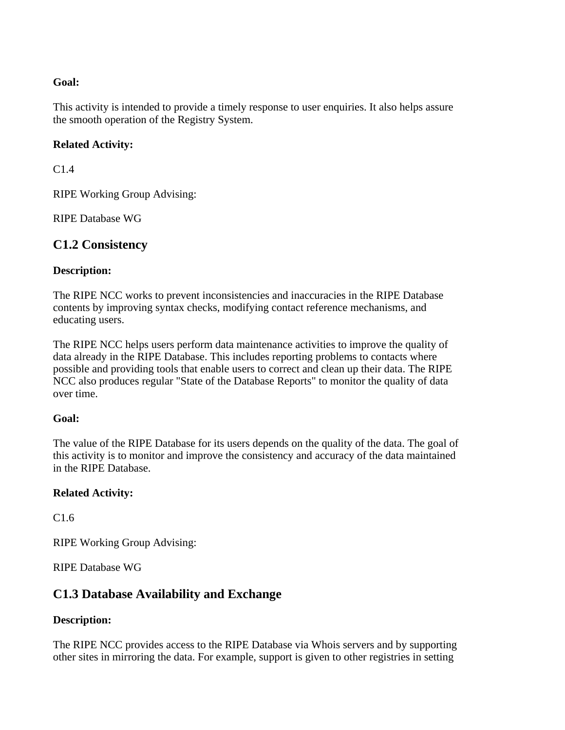#### **Goal:**

This activity is intended to provide a timely response to user enquiries. It also helps assure the smooth operation of the Registry System.

#### **Related Activity:**

 $C1.4$ 

RIPE Working Group Advising:

RIPE Database WG

## **C1.2 Consistency**

#### **Description:**

The RIPE NCC works to prevent inconsistencies and inaccuracies in the RIPE Database contents by improving syntax checks, modifying contact reference mechanisms, and educating users.

The RIPE NCC helps users perform data maintenance activities to improve the quality of data already in the RIPE Database. This includes reporting problems to contacts where possible and providing tools that enable users to correct and clean up their data. The RIPE NCC also produces regular "State of the Database Reports" to monitor the quality of data over time.

#### **Goal:**

The value of the RIPE Database for its users depends on the quality of the data. The goal of this activity is to monitor and improve the consistency and accuracy of the data maintained in the RIPE Database.

#### **Related Activity:**

C1.6

RIPE Working Group Advising:

RIPE Database WG

## **C1.3 Database Availability and Exchange**

#### **Description:**

The RIPE NCC provides access to the RIPE Database via Whois servers and by supporting other sites in mirroring the data. For example, support is given to other registries in setting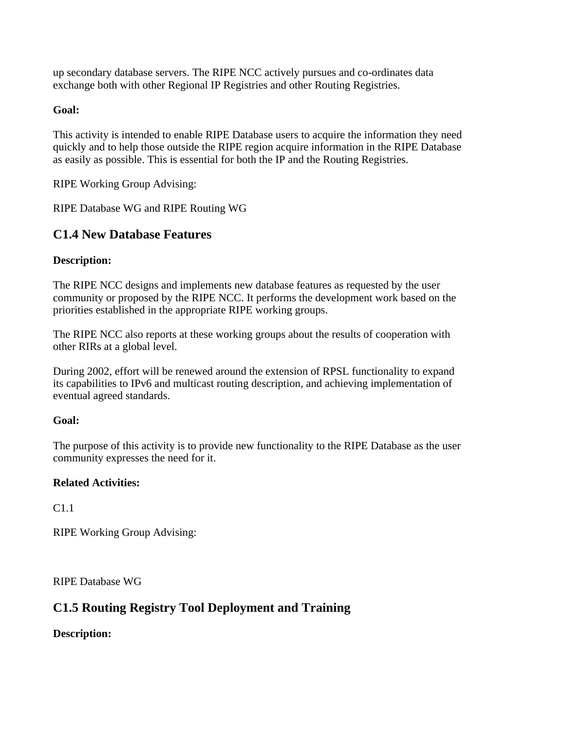up secondary database servers. The RIPE NCC actively pursues and co-ordinates data exchange both with other Regional IP Registries and other Routing Registries.

## **Goal:**

This activity is intended to enable RIPE Database users to acquire the information they need quickly and to help those outside the RIPE region acquire information in the RIPE Database as easily as possible. This is essential for both the IP and the Routing Registries.

RIPE Working Group Advising:

RIPE Database WG and RIPE Routing WG

# **C1.4 New Database Features**

## **Description:**

The RIPE NCC designs and implements new database features as requested by the user community or proposed by the RIPE NCC. It performs the development work based on the priorities established in the appropriate RIPE working groups.

The RIPE NCC also reports at these working groups about the results of cooperation with other RIRs at a global level.

During 2002, effort will be renewed around the extension of RPSL functionality to expand its capabilities to IPv6 and multicast routing description, and achieving implementation of eventual agreed standards.

### **Goal:**

The purpose of this activity is to provide new functionality to the RIPE Database as the user community expresses the need for it.

### **Related Activities:**

C1.1

RIPE Working Group Advising:

RIPE Database WG

# **C1.5 Routing Registry Tool Deployment and Training**

**Description:**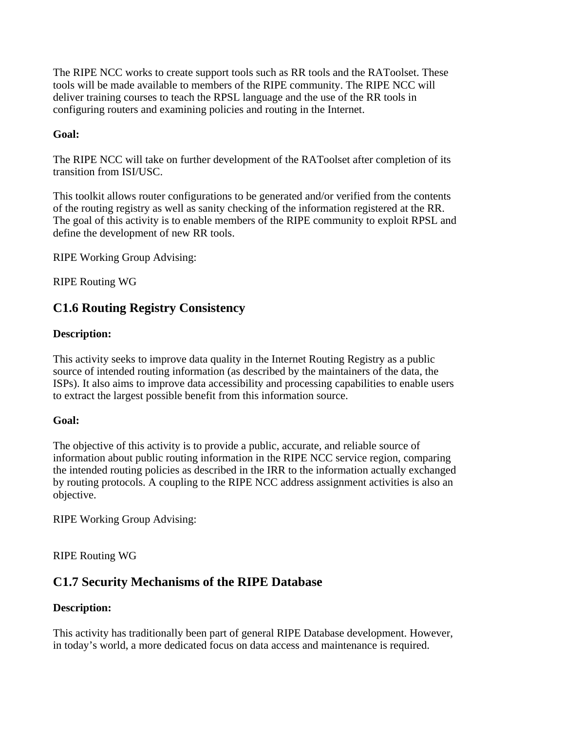The RIPE NCC works to create support tools such as RR tools and the RAToolset. These tools will be made available to members of the RIPE community. The RIPE NCC will deliver training courses to teach the RPSL language and the use of the RR tools in configuring routers and examining policies and routing in the Internet.

### **Goal:**

The RIPE NCC will take on further development of the RAToolset after completion of its transition from ISI/USC.

This toolkit allows router configurations to be generated and/or verified from the contents of the routing registry as well as sanity checking of the information registered at the RR. The goal of this activity is to enable members of the RIPE community to exploit RPSL and define the development of new RR tools.

RIPE Working Group Advising:

RIPE Routing WG

# **C1.6 Routing Registry Consistency**

#### **Description:**

This activity seeks to improve data quality in the Internet Routing Registry as a public source of intended routing information (as described by the maintainers of the data, the ISPs). It also aims to improve data accessibility and processing capabilities to enable users to extract the largest possible benefit from this information source.

#### **Goal:**

The objective of this activity is to provide a public, accurate, and reliable source of information about public routing information in the RIPE NCC service region, comparing the intended routing policies as described in the IRR to the information actually exchanged by routing protocols. A coupling to the RIPE NCC address assignment activities is also an objective.

RIPE Working Group Advising:

RIPE Routing WG

## **C1.7 Security Mechanisms of the RIPE Database**

### **Description:**

This activity has traditionally been part of general RIPE Database development. However, in today's world, a more dedicated focus on data access and maintenance is required.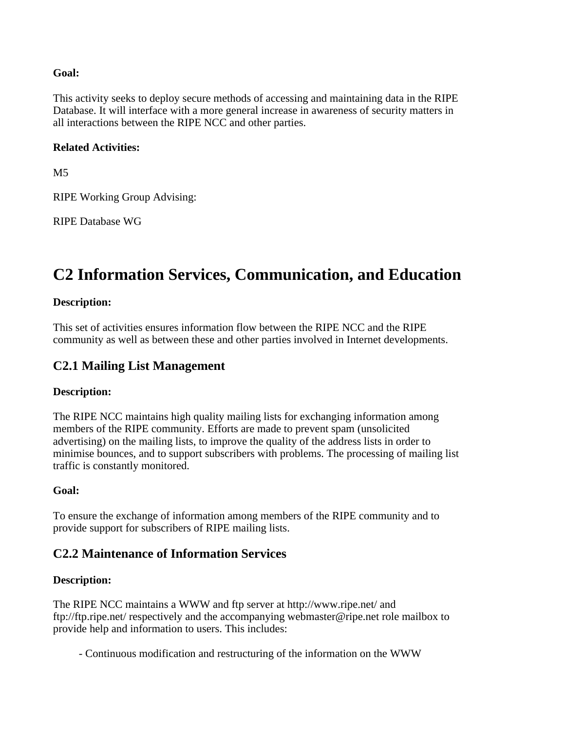#### **Goal:**

This activity seeks to deploy secure methods of accessing and maintaining data in the RIPE Database. It will interface with a more general increase in awareness of security matters in all interactions between the RIPE NCC and other parties.

#### **Related Activities:**

M5

RIPE Working Group Advising:

RIPE Database WG

# **C2 Information Services, Communication, and Education**

#### **Description:**

This set of activities ensures information flow between the RIPE NCC and the RIPE community as well as between these and other parties involved in Internet developments.

## **C2.1 Mailing List Management**

#### **Description:**

The RIPE NCC maintains high quality mailing lists for exchanging information among members of the RIPE community. Efforts are made to prevent spam (unsolicited advertising) on the mailing lists, to improve the quality of the address lists in order to minimise bounces, and to support subscribers with problems. The processing of mailing list traffic is constantly monitored.

#### **Goal:**

To ensure the exchange of information among members of the RIPE community and to provide support for subscribers of RIPE mailing lists.

## **C2.2 Maintenance of Information Services**

### **Description:**

The RIPE NCC maintains a WWW and ftp server at http://www.ripe.net/ and ftp://ftp.ripe.net/ respectively and the accompanying webmaster@ripe.net role mailbox to provide help and information to users. This includes:

- Continuous modification and restructuring of the information on the WWW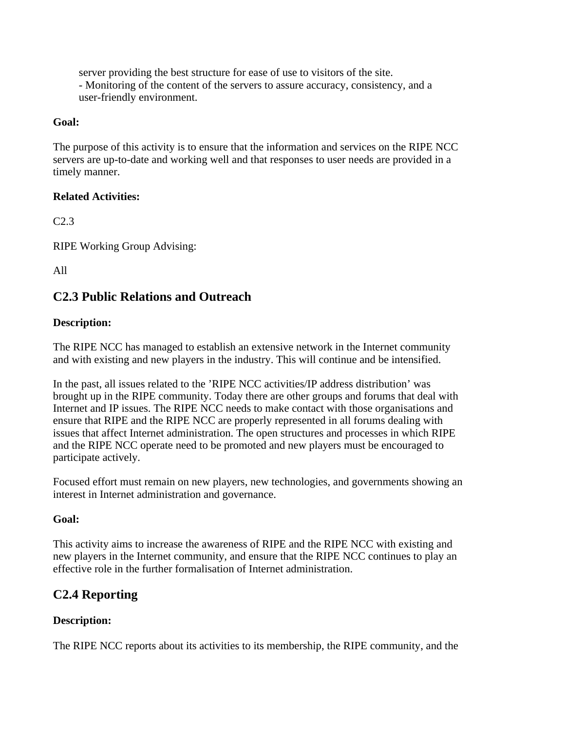server providing the best structure for ease of use to visitors of the site. - Monitoring of the content of the servers to assure accuracy, consistency, and a user-friendly environment.

#### **Goal:**

The purpose of this activity is to ensure that the information and services on the RIPE NCC servers are up-to-date and working well and that responses to user needs are provided in a timely manner.

### **Related Activities:**

C2.3

RIPE Working Group Advising:

All

## **C2.3 Public Relations and Outreach**

### **Description:**

The RIPE NCC has managed to establish an extensive network in the Internet community and with existing and new players in the industry. This will continue and be intensified.

In the past, all issues related to the 'RIPE NCC activities/IP address distribution' was brought up in the RIPE community. Today there are other groups and forums that deal with Internet and IP issues. The RIPE NCC needs to make contact with those organisations and ensure that RIPE and the RIPE NCC are properly represented in all forums dealing with issues that affect Internet administration. The open structures and processes in which RIPE and the RIPE NCC operate need to be promoted and new players must be encouraged to participate actively.

Focused effort must remain on new players, new technologies, and governments showing an interest in Internet administration and governance.

### **Goal:**

This activity aims to increase the awareness of RIPE and the RIPE NCC with existing and new players in the Internet community, and ensure that the RIPE NCC continues to play an effective role in the further formalisation of Internet administration.

# **C2.4 Reporting**

### **Description:**

The RIPE NCC reports about its activities to its membership, the RIPE community, and the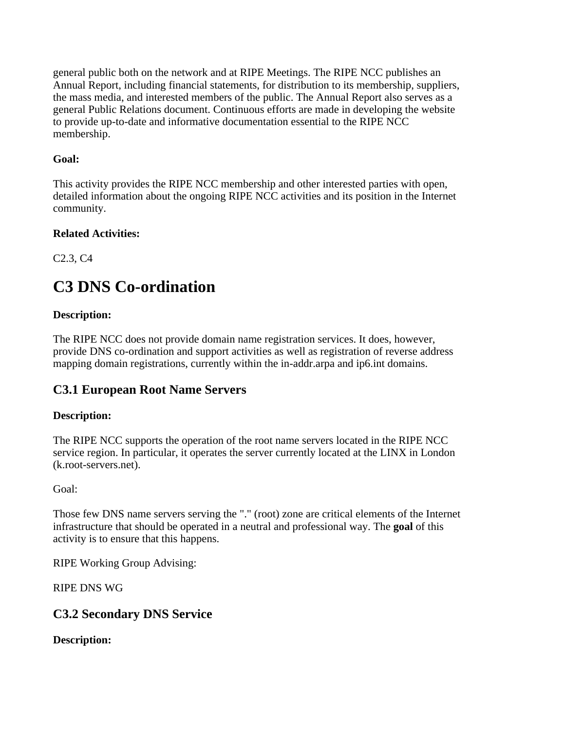general public both on the network and at RIPE Meetings. The RIPE NCC publishes an Annual Report, including financial statements, for distribution to its membership, suppliers, the mass media, and interested members of the public. The Annual Report also serves as a general Public Relations document. Continuous efforts are made in developing the website to provide up-to-date and informative documentation essential to the RIPE NCC membership.

## **Goal:**

This activity provides the RIPE NCC membership and other interested parties with open, detailed information about the ongoing RIPE NCC activities and its position in the Internet community.

### **Related Activities:**

C2.3, C4

# **C3 DNS Co-ordination**

## **Description:**

The RIPE NCC does not provide domain name registration services. It does, however, provide DNS co-ordination and support activities as well as registration of reverse address mapping domain registrations, currently within the in-addr.arpa and ip6.int domains.

# **C3.1 European Root Name Servers**

## **Description:**

The RIPE NCC supports the operation of the root name servers located in the RIPE NCC service region. In particular, it operates the server currently located at the LINX in London (k.root-servers.net).

Goal:

Those few DNS name servers serving the "." (root) zone are critical elements of the Internet infrastructure that should be operated in a neutral and professional way. The **goal** of this activity is to ensure that this happens.

RIPE Working Group Advising:

RIPE DNS WG

## **C3.2 Secondary DNS Service**

**Description:**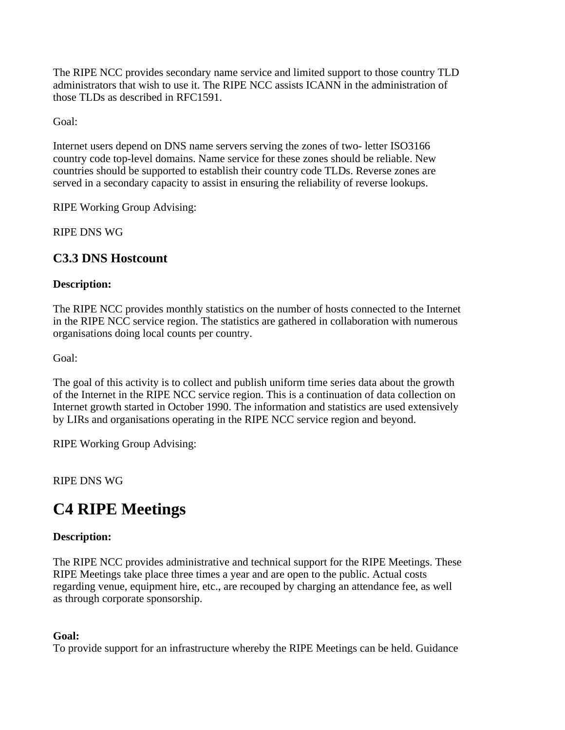The RIPE NCC provides secondary name service and limited support to those country TLD administrators that wish to use it. The RIPE NCC assists ICANN in the administration of those TLDs as described in RFC1591.

Goal:

Internet users depend on DNS name servers serving the zones of two- letter ISO3166 country code top-level domains. Name service for these zones should be reliable. New countries should be supported to establish their country code TLDs. Reverse zones are served in a secondary capacity to assist in ensuring the reliability of reverse lookups.

RIPE Working Group Advising:

RIPE DNS WG

# **C3.3 DNS Hostcount**

## **Description:**

The RIPE NCC provides monthly statistics on the number of hosts connected to the Internet in the RIPE NCC service region. The statistics are gathered in collaboration with numerous organisations doing local counts per country.

Goal:

The goal of this activity is to collect and publish uniform time series data about the growth of the Internet in the RIPE NCC service region. This is a continuation of data collection on Internet growth started in October 1990. The information and statistics are used extensively by LIRs and organisations operating in the RIPE NCC service region and beyond.

RIPE Working Group Advising:

## RIPE DNS WG

# **C4 RIPE Meetings**

### **Description:**

The RIPE NCC provides administrative and technical support for the RIPE Meetings. These RIPE Meetings take place three times a year and are open to the public. Actual costs regarding venue, equipment hire, etc., are recouped by charging an attendance fee, as well as through corporate sponsorship.

### **Goal:**

To provide support for an infrastructure whereby the RIPE Meetings can be held. Guidance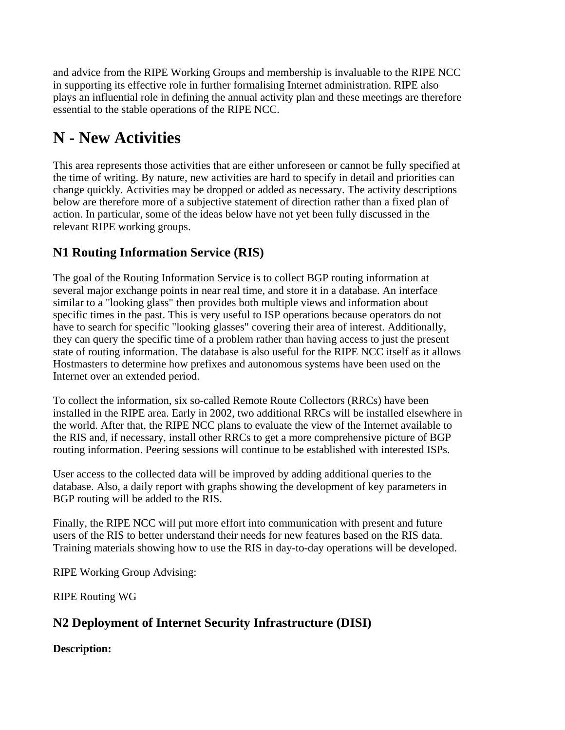and advice from the RIPE Working Groups and membership is invaluable to the RIPE NCC in supporting its effective role in further formalising Internet administration. RIPE also plays an influential role in defining the annual activity plan and these meetings are therefore essential to the stable operations of the RIPE NCC.

# **N - New Activities**

This area represents those activities that are either unforeseen or cannot be fully specified at the time of writing. By nature, new activities are hard to specify in detail and priorities can change quickly. Activities may be dropped or added as necessary. The activity descriptions below are therefore more of a subjective statement of direction rather than a fixed plan of action. In particular, some of the ideas below have not yet been fully discussed in the relevant RIPE working groups.

# **N1 Routing Information Service (RIS)**

The goal of the Routing Information Service is to collect BGP routing information at several major exchange points in near real time, and store it in a database. An interface similar to a "looking glass" then provides both multiple views and information about specific times in the past. This is very useful to ISP operations because operators do not have to search for specific "looking glasses" covering their area of interest. Additionally, they can query the specific time of a problem rather than having access to just the present state of routing information. The database is also useful for the RIPE NCC itself as it allows Hostmasters to determine how prefixes and autonomous systems have been used on the Internet over an extended period.

To collect the information, six so-called Remote Route Collectors (RRCs) have been installed in the RIPE area. Early in 2002, two additional RRCs will be installed elsewhere in the world. After that, the RIPE NCC plans to evaluate the view of the Internet available to the RIS and, if necessary, install other RRCs to get a more comprehensive picture of BGP routing information. Peering sessions will continue to be established with interested ISPs.

User access to the collected data will be improved by adding additional queries to the database. Also, a daily report with graphs showing the development of key parameters in BGP routing will be added to the RIS.

Finally, the RIPE NCC will put more effort into communication with present and future users of the RIS to better understand their needs for new features based on the RIS data. Training materials showing how to use the RIS in day-to-day operations will be developed.

RIPE Working Group Advising:

RIPE Routing WG

# **N2 Deployment of Internet Security Infrastructure (DISI)**

**Description:**